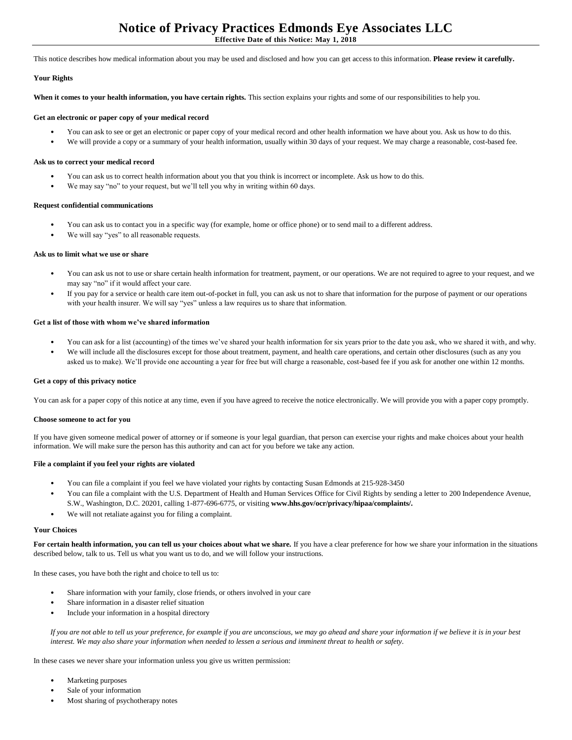This notice describes how medical information about you may be used and disclosed and how you can get access to this information. **Please review it carefully.**

## **Your Rights**

**When it comes to your health information, you have certain rights.** This section explains your rights and some of our responsibilities to help you.

### **Get an electronic or paper copy of your medical record**

- You can ask to see or get an electronic or paper copy of your medical record and other health information we have about you. Ask us how to do this.
- We will provide a copy or a summary of your health information, usually within 30 days of your request. We may charge a reasonable, cost-based fee.

#### **Ask us to correct your medical record**

- You can ask us to correct health information about you that you think is incorrect or incomplete. Ask us how to do this.
- We may say "no" to your request, but we'll tell you why in writing within 60 days.

# **Request confidential communications**

- You can ask us to contact you in a specific way (for example, home or office phone) or to send mail to a different address.
- We will say "yes" to all reasonable requests.

#### **Ask us to limit what we use or share**

- You can ask us not to use or share certain health information for treatment, payment, or our operations. We are not required to agree to your request, and we may say "no" if it would affect your care.
- If you pay for a service or health care item out-of-pocket in full, you can ask us not to share that information for the purpose of payment or our operations with your health insurer. We will say "yes" unless a law requires us to share that information.

#### **Get a list of those with whom we've shared information**

- You can ask for a list (accounting) of the times we've shared your health information for six years prior to the date you ask, who we shared it with, and why.
- We will include all the disclosures except for those about treatment, payment, and health care operations, and certain other disclosures (such as any you asked us to make). We'll provide one accounting a year for free but will charge a reasonable, cost-based fee if you ask for another one within 12 months.

#### **Get a copy of this privacy notice**

You can ask for a paper copy of this notice at any time, even if you have agreed to receive the notice electronically. We will provide you with a paper copy promptly.

#### **Choose someone to act for you**

If you have given someone medical power of attorney or if someone is your legal guardian, that person can exercise your rights and make choices about your health information. We will make sure the person has this authority and can act for you before we take any action.

## **File a complaint if you feel your rights are violated**

- You can file a complaint if you feel we have violated your rights by contacting Susan Edmonds at 215-928-3450
- You can file a complaint with the U.S. Department of Health and Human Services Office for Civil Rights by sending a letter to 200 Independence Avenue, S.W., Washington, D.C. 20201, calling 1-877-696-6775, or visiting **www.hhs.gov/ocr/privacy/hipaa/complaints/.**
- We will not retaliate against you for filing a complaint.

#### **Your Choices**

For certain health information, you can tell us your choices about what we share. If you have a clear preference for how we share your information in the situations described below, talk to us. Tell us what you want us to do, and we will follow your instructions.

In these cases, you have both the right and choice to tell us to:

- Share information with your family, close friends, or others involved in your care
- Share information in a disaster relief situation
- Include your information in a hospital directory

*If you are not able to tell us your preference, for example if you are unconscious, we may go ahead and share your information if we believe it is in your best interest. We may also share your information when needed to lessen a serious and imminent threat to health or safety.*

In these cases we never share your information unless you give us written permission:

- Marketing purposes
- Sale of your information
- Most sharing of psychotherapy notes